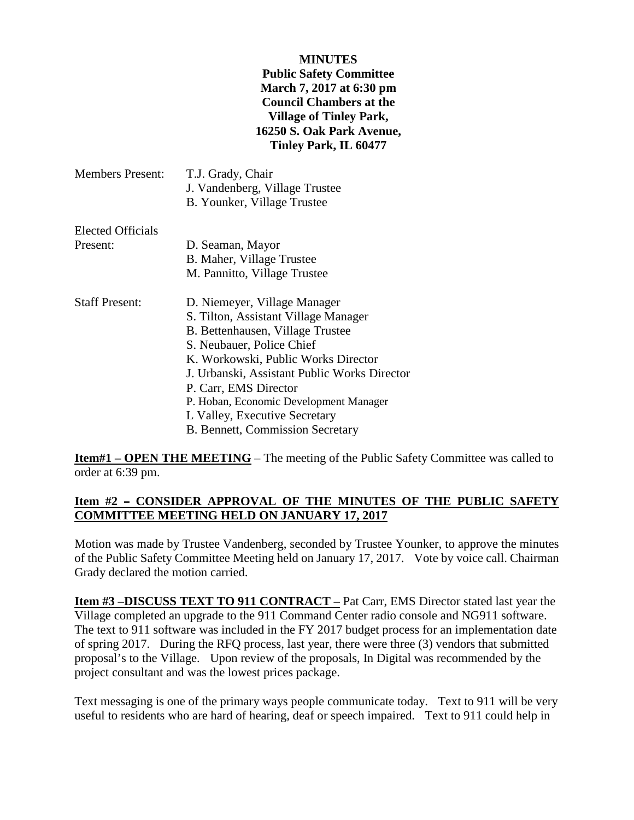#### **MINUTES**

### **Public Safety Committee March 7, 2017 at 6:30 pm Council Chambers at the Village of Tinley Park, 16250 S. Oak Park Avenue, Tinley Park, IL 60477**

| <b>Members Present:</b> | T.J. Grady, Chair<br>J. Vandenberg, Village Trustee<br>B. Younker, Village Trustee |
|-------------------------|------------------------------------------------------------------------------------|
| Elected Officials       |                                                                                    |
| Present:                | D. Seaman, Mayor                                                                   |
|                         | B. Maher, Village Trustee                                                          |
|                         | M. Pannitto, Village Trustee                                                       |
| <b>Staff Present:</b>   | D. Niemeyer, Village Manager                                                       |
|                         | S. Tilton, Assistant Village Manager                                               |
|                         | B. Bettenhausen, Village Trustee                                                   |
|                         | S. Neubauer, Police Chief                                                          |
|                         | K. Workowski, Public Works Director                                                |
|                         | J. Urbanski, Assistant Public Works Director                                       |
|                         | P. Carr, EMS Director                                                              |
|                         | P. Hoban, Economic Development Manager                                             |
|                         | L Valley, Executive Secretary                                                      |
|                         | <b>B. Bennett, Commission Secretary</b>                                            |
|                         |                                                                                    |

**Item#1 – OPEN THE MEETING** – The meeting of the Public Safety Committee was called to order at 6:39 pm.

### Item #2 - CONSIDER APPROVAL OF THE MINUTES OF THE PUBLIC SAFETY **COMMITTEE MEETING HELD ON JANUARY 17, 2017**

Motion was made by Trustee Vandenberg, seconded by Trustee Younker, to approve the minutes of the Public Safety Committee Meeting held on January 17, 2017. Vote by voice call. Chairman Grady declared the motion carried.

**Item #3 –DISCUSS TEXT TO 911 CONTRACT –** Pat Carr, EMS Director stated last year the Village completed an upgrade to the 911 Command Center radio console and NG911 software. The text to 911 software was included in the FY 2017 budget process for an implementation date of spring 2017. During the RFQ process, last year, there were three (3) vendors that submitted proposal's to the Village. Upon review of the proposals, In Digital was recommended by the project consultant and was the lowest prices package.

Text messaging is one of the primary ways people communicate today. Text to 911 will be very useful to residents who are hard of hearing, deaf or speech impaired. Text to 911 could help in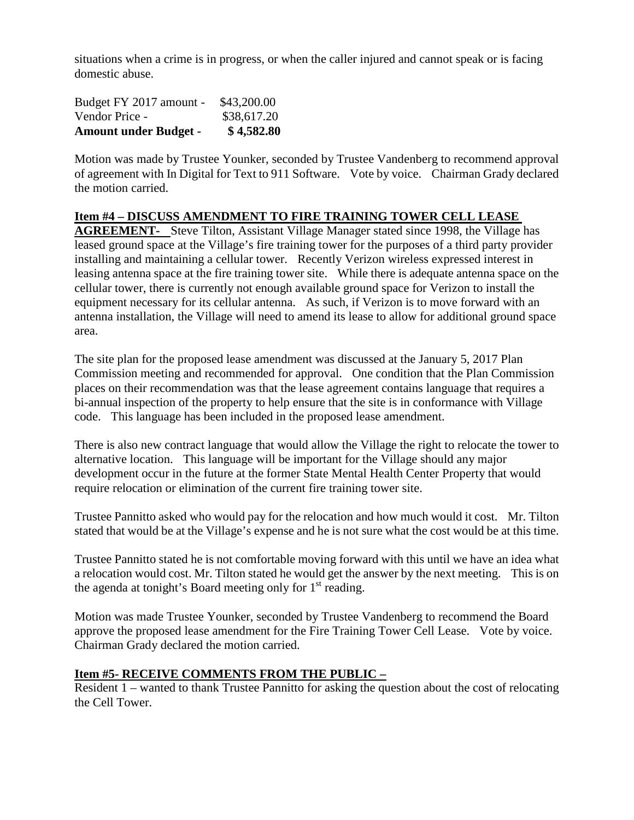situations when a crime is in progress, or when the caller injured and cannot speak or is facing domestic abuse.

| <b>Amount under Budget -</b> | \$4,582.80  |
|------------------------------|-------------|
| Vendor Price -               | \$38,617.20 |
| Budget FY 2017 amount -      | \$43,200.00 |

Motion was made by Trustee Younker, seconded by Trustee Vandenberg to recommend approval of agreement with In Digital for Text to 911 Software. Vote by voice. Chairman Grady declared the motion carried.

# **Item #4 – DISCUSS AMENDMENT TO FIRE TRAINING TOWER CELL LEASE**

**AGREEMENT-** Steve Tilton, Assistant Village Manager stated since 1998, the Village has leased ground space at the Village's fire training tower for the purposes of a third party provider installing and maintaining a cellular tower. Recently Verizon wireless expressed interest in leasing antenna space at the fire training tower site. While there is adequate antenna space on the cellular tower, there is currently not enough available ground space for Verizon to install the equipment necessary for its cellular antenna. As such, if Verizon is to move forward with an antenna installation, the Village will need to amend its lease to allow for additional ground space area.

The site plan for the proposed lease amendment was discussed at the January 5, 2017 Plan Commission meeting and recommended for approval. One condition that the Plan Commission places on their recommendation was that the lease agreement contains language that requires a bi-annual inspection of the property to help ensure that the site is in conformance with Village code. This language has been included in the proposed lease amendment.

There is also new contract language that would allow the Village the right to relocate the tower to alternative location. This language will be important for the Village should any major development occur in the future at the former State Mental Health Center Property that would require relocation or elimination of the current fire training tower site.

Trustee Pannitto asked who would pay for the relocation and how much would it cost. Mr. Tilton stated that would be at the Village's expense and he is not sure what the cost would be at this time.

Trustee Pannitto stated he is not comfortable moving forward with this until we have an idea what a relocation would cost. Mr. Tilton stated he would get the answer by the next meeting. This is on the agenda at tonight's Board meeting only for  $1<sup>st</sup>$  reading.

Motion was made Trustee Younker, seconded by Trustee Vandenberg to recommend the Board approve the proposed lease amendment for the Fire Training Tower Cell Lease. Vote by voice. Chairman Grady declared the motion carried.

## **Item #5- RECEIVE COMMENTS FROM THE PUBLIC –**

Resident 1 – wanted to thank Trustee Pannitto for asking the question about the cost of relocating the Cell Tower.